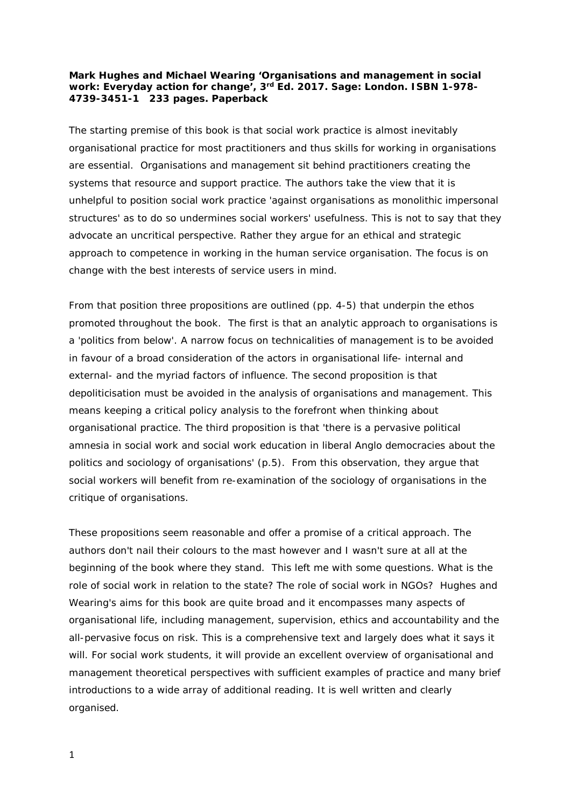## **Mark Hughes and Michael Wearing 'Organisations and management in social work: Everyday action for change', 3rd Ed. 2017. Sage: London. ISBN 1-978- 4739-3451-1 233 pages. Paperback**

The starting premise of this book is that social work practice is almost inevitably organisational practice for most practitioners and thus skills for working in organisations are essential. Organisations and management sit behind practitioners creating the systems that resource and support practice. The authors take the view that it is unhelpful to position social work practice 'against organisations as monolithic impersonal structures' as to do so undermines social workers' usefulness. This is not to say that they advocate an uncritical perspective. Rather they argue for an ethical and strategic approach to competence in working in the human service organisation. The focus is on change with the best interests of service users in mind.

From that position three propositions are outlined (pp. 4-5) that underpin the ethos promoted throughout the book. The first is that an analytic approach to organisations is a 'politics from below'. A narrow focus on technicalities of management is to be avoided in favour of a broad consideration of the actors in organisational life- internal and external- and the myriad factors of influence. The second proposition is that depoliticisation must be avoided in the analysis of organisations and management. This means keeping a critical policy analysis to the forefront when thinking about organisational practice. The third proposition is that 'there is a pervasive political amnesia in social work and social work education in liberal Anglo democracies about the politics and sociology of organisations' (p.5). From this observation, they argue that social workers will benefit from re-examination of the sociology of organisations in the critique of organisations.

These propositions seem reasonable and offer a promise of a critical approach. The authors don't nail their colours to the mast however and I wasn't sure at all at the beginning of the book where they stand. This left me with some questions. What is the role of social work in relation to the state? The role of social work in NGOs? Hughes and Wearing's aims for this book are quite broad and it encompasses many aspects of organisational life, including management, supervision, ethics and accountability and the all-pervasive focus on risk. This is a comprehensive text and largely does what it says it will. For social work students, it will provide an excellent overview of organisational and management theoretical perspectives with sufficient examples of practice and many brief introductions to a wide array of additional reading. It is well written and clearly organised.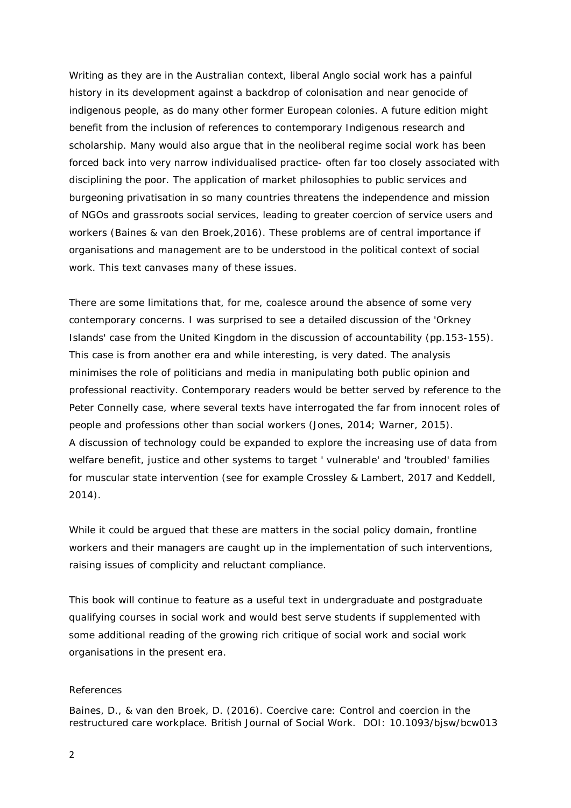Writing as they are in the Australian context, liberal Anglo social work has a painful history in its development against a backdrop of colonisation and near genocide of indigenous people, as do many other former European colonies. A future edition might benefit from the inclusion of references to contemporary Indigenous research and scholarship. Many would also argue that in the neoliberal regime social work has been forced back into very narrow individualised practice- often far too closely associated with disciplining the poor. The application of market philosophies to public services and burgeoning privatisation in so many countries threatens the independence and mission of NGOs and grassroots social services, leading to greater coercion of service users and workers (Baines & van den Broek,2016). These problems are of central importance if organisations and management are to be understood in the political context of social work. This text canvases many of these issues.

There are some limitations that, for me, coalesce around the absence of some very contemporary concerns. I was surprised to see a detailed discussion of the 'Orkney Islands' case from the United Kingdom in the discussion of accountability (pp.153-155). This case is from another era and while interesting, is very dated. The analysis minimises the role of politicians and media in manipulating both public opinion and professional reactivity. Contemporary readers would be better served by reference to the Peter Connelly case, where several texts have interrogated the far from innocent roles of people and professions other than social workers (Jones, 2014; Warner, 2015). A discussion of technology could be expanded to explore the increasing use of data from welfare benefit, justice and other systems to target ' vulnerable' and 'troubled' families for muscular state intervention (see for example Crossley & Lambert, 2017 and Keddell, 2014).

While it could be argued that these are matters in the social policy domain, frontline workers and their managers are caught up in the implementation of such interventions, raising issues of complicity and reluctant compliance.

This book will continue to feature as a useful text in undergraduate and postgraduate qualifying courses in social work and would best serve students if supplemented with some additional reading of the growing rich critique of social work and social work organisations in the present era.

## References

Baines, D., & van den Broek, D. (2016). Coercive care: Control and coercion in the restructured care workplace. *British Journal of Social Work*. DOI: 10.1093/bjsw/bcw013